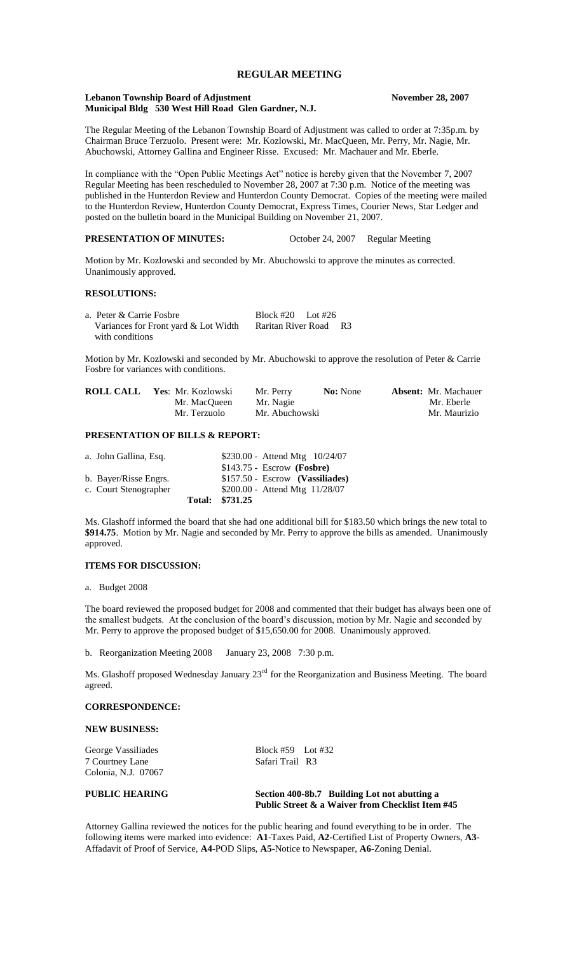# **REGULAR MEETING**

### **Lebanon Township Board of Adjustment November 28, 2007 Municipal Bldg 530 West Hill Road Glen Gardner, N.J.**

The Regular Meeting of the Lebanon Township Board of Adjustment was called to order at 7:35p.m. by Chairman Bruce Terzuolo. Present were: Mr. Kozlowski, Mr. MacQueen, Mr. Perry, Mr. Nagie, Mr. Abuchowski, Attorney Gallina and Engineer Risse. Excused: Mr. Machauer and Mr. Eberle.

In compliance with the "Open Public Meetings Act" notice is hereby given that the November 7, 2007 Regular Meeting has been rescheduled to November 28, 2007 at 7:30 p.m. Notice of the meeting was published in the Hunterdon Review and Hunterdon County Democrat. Copies of the meeting were mailed to the Hunterdon Review, Hunterdon County Democrat, Express Times, Courier News, Star Ledger and posted on the bulletin board in the Municipal Building on November 21, 2007.

**PRESENTATION OF MINUTES:** October 24, 2007 Regular Meeting

Motion by Mr. Kozlowski and seconded by Mr. Abuchowski to approve the minutes as corrected. Unanimously approved.

### **RESOLUTIONS:**

| a. Peter & Carrie Fosbre             | Block #20 Lot #26  |                |
|--------------------------------------|--------------------|----------------|
| Variances for Front yard & Lot Width | Raritan River Road | R <sup>3</sup> |
| with conditions                      |                    |                |

Motion by Mr. Kozlowski and seconded by Mr. Abuchowski to approve the resolution of Peter & Carrie Fosbre for variances with conditions.

| <b>ROLL CALL</b> | Yes: Mr. Kozlowski | Mr. Perry      | <b>No:</b> None | <b>Absent:</b> Mr. Machauer |
|------------------|--------------------|----------------|-----------------|-----------------------------|
|                  | Mr. MacOueen       | Mr. Nagie      |                 | Mr. Eberle                  |
|                  | Mr. Terzuolo       | Mr. Abuchowski |                 | Mr. Maurizio                |

# **PRESENTATION OF BILLS & REPORT:**

| a. John Gallina, Esq. | \$230.00 - Attend Mtg 10/24/07    |
|-----------------------|-----------------------------------|
|                       | $$143.75$ - Escrow (Fosbre)       |
| b. Bayer/Risse Engrs. | $$157.50 - Escrow$ (Vassiliades)  |
| c. Court Stenographer | $$200.00 -$ Attend Mtg $11/28/07$ |
|                       | Total: \$731.25                   |

Ms. Glashoff informed the board that she had one additional bill for \$183.50 which brings the new total to **\$914.75**. Motion by Mr. Nagie and seconded by Mr. Perry to approve the bills as amended. Unanimously approved.

### **ITEMS FOR DISCUSSION:**

a. Budget 2008

The board reviewed the proposed budget for 2008 and commented that their budget has always been one of the smallest budgets. At the conclusion of the board's discussion, motion by Mr. Nagie and seconded by Mr. Perry to approve the proposed budget of \$15,650.00 for 2008. Unanimously approved.

b. Reorganization Meeting 2008 January 23, 2008 7:30 p.m.

Ms. Glashoff proposed Wednesday January 23<sup>rd</sup> for the Reorganization and Business Meeting. The board agreed.

# **CORRESPONDENCE:**

**NEW BUSINESS:**

George Vassiliades<br>
T Courtney Lane<br>
Safari Trail R3 7 Courtney Lane Colonia, N.J. 07067

## **PUBLIC HEARING Section 400-8b.7 Building Lot not abutting a Public Street & a Waiver from Checklist Item #45**

Attorney Gallina reviewed the notices for the public hearing and found everything to be in order. The following items were marked into evidence: **A1**-Taxes Paid, **A2-**Certified List of Property Owners, **A3-** Affadavit of Proof of Service, **A4**-POD Slips, **A5-**Notice to Newspaper, **A6**-Zoning Denial.